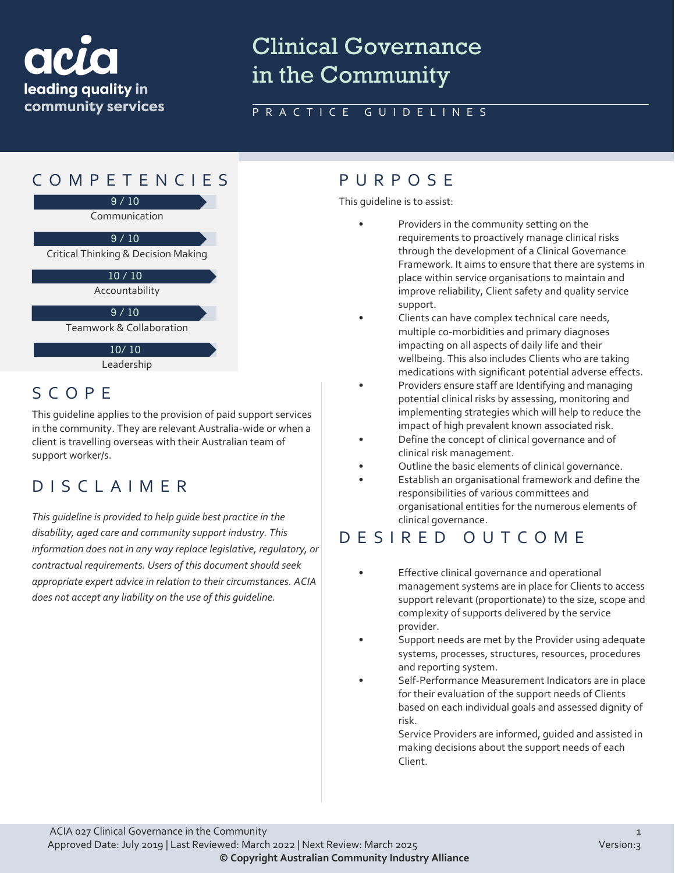

# Clinical Governance in the Community

### PRACTICE GUIDELINES



### SCOPE

This guideline applies to the provision of paid support services in the community. They are relevant Australia-wide or when a client is travelling overseas with their Australian team of support worker/s.

### DISCLAIMER

*This guideline is provided to help guide best practice in the disability, aged care and community support industry. This information does not in any way replace legislative, regulatory, or contractual requirements. Users of this document should seek appropriate expert advice in relation to their circumstances. ACIA does not accept any liability on the use of this guideline.*

This guideline is to assist:

- Providers in the community setting on the requirements to proactively manage clinical risks through the development of a Clinical Governance Framework. It aims to ensure that there are systems in place within service organisations to maintain and improve reliability, Client safety and quality service support.
- Clients can have complex technical care needs, multiple co-morbidities and primary diagnoses impacting on all aspects of daily life and their wellbeing. This also includes Clients who are taking medications with significant potential adverse effects.
- Providers ensure staff are Identifying and managing potential clinical risks by assessing, monitoring and implementing strategies which will help to reduce the impact of high prevalent known associated risk.
- Define the concept of clinical governance and of clinical risk management.
- Outline the basic elements of clinical governance.
- Establish an organisational framework and define the responsibilities of various committees and organisational entities for the numerous elements of clinical governance.

### DESIRED OUTCOME

- Effective clinical governance and operational management systems are in place for Clients to access support relevant (proportionate) to the size, scope and complexity of supports delivered by the service provider.
- Support needs are met by the Provider using adequate systems, processes, structures, resources, procedures and reporting system.
- Self-Performance Measurement Indicators are in place for their evaluation of the support needs of Clients based on each individual goals and assessed dignity of risk.

Service Providers are informed, guided and assisted in making decisions about the support needs of each Client.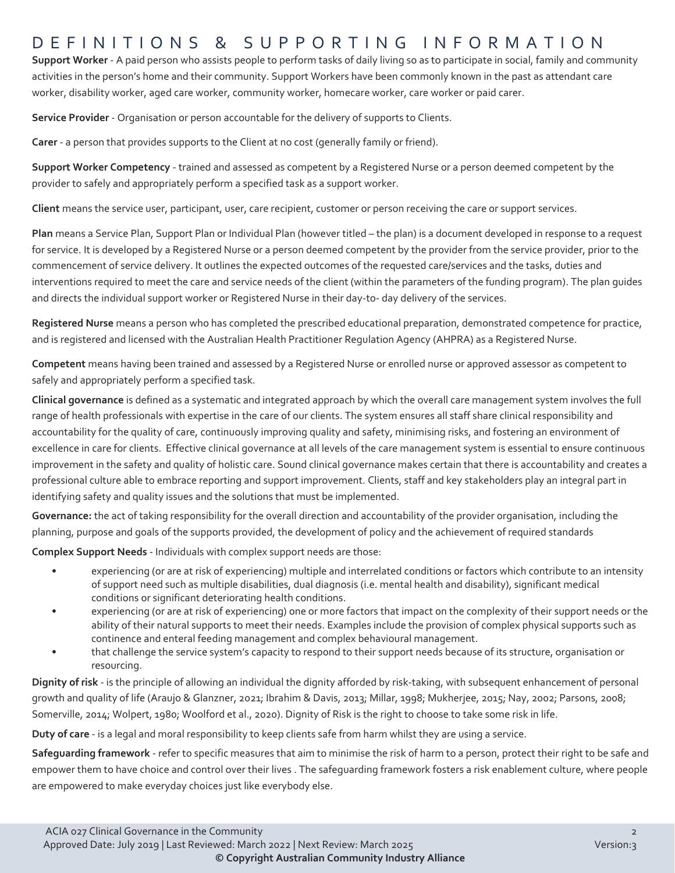### DEFINITIONS & SUPPORTING INFORMATIO N

**Support Worker** - A paid person who assists people to perform tasks of daily living so as to participate in social, family and community activities in the person's home and their community. Support Workers have been commonly known in the past as attendant care worker, disability worker, aged care worker, community worker, homecare worker, care worker or paid carer.

**Service Provider** - Organisation or person accountable for the delivery of supports to Clients.

**Carer** - a person that provides supports to the Client at no cost (generally family or friend).

**Support Worker Competency** - trained and assessed as competent by a Registered Nurse or a person deemed competent by the provider to safely and appropriately perform a specified task as a support worker.

**Client** means the service user, participant, user, care recipient, customer or person receiving the care or support services.

**Plan** means a Service Plan, Support Plan or Individual Plan (however titled – the plan) is a document developed in response to a request for service. It is developed by a Registered Nurse or a person deemed competent by the provider from the service provider, prior to the commencement of service delivery. It outlines the expected outcomes of the requested care/services and the tasks, duties and interventions required to meet the care and service needs of the client (within the parameters of the funding program). The plan guides and directs the individual support worker or Registered Nurse in their day-to- day delivery of the services.

**Registered Nurse** means a person who has completed the prescribed educational preparation, demonstrated competence for practice, and is registered and licensed with the Australian Health Practitioner Regulation Agency (AHPRA) as a Registered Nurse.

**Competent** means having been trained and assessed by a Registered Nurse or enrolled nurse or approved assessor as competent to safely and appropriately perform a specified task.

**Clinical governance** is defined as a systematic and integrated approach by which the overall care management system involves the full range of health professionals with expertise in the care of our clients. The system ensures all staff share clinical responsibility and accountability for the quality of care, continuously improving quality and safety, minimising risks, and fostering an environment of excellence in care for clients. Effective clinical governance at all levels of the care management system is essential to ensure continuous improvement in the safety and quality of holistic care. Sound clinical governance makes certain that there is accountability and creates a professional culture able to embrace reporting and support improvement. Clients, staff and key stakeholders play an integral part in identifying safety and quality issues and the solutions that must be implemented.

**Governance:** the act of taking responsibility for the overall direction and accountability of the provider organisation, including the planning, purpose and goals of the supports provided, the development of policy and the achievement of required standards

**Complex Support Needs** - Individuals with complex support needs are those:

- experiencing (or are at risk of experiencing) multiple and interrelated conditions or factors which contribute to an intensity of support need such as multiple disabilities, dual diagnosis (i.e. mental health and disability), significant medical conditions or significant deteriorating health conditions.
- experiencing (or are at risk of experiencing) one or more factors that impact on the complexity of their support needs or the ability of their natural supports to meet their needs. Examples include the provision of complex physical supports such as continence and enteral feeding management and complex behavioural management.
- that challenge the service system's capacity to respond to their support needs because of its structure, organisation or resourcing.

**Dignity of risk** - is the principle of allowing an individual the dignity afforded by risk-taking, with subsequent enhancement of personal growth and quality of life (Araujo & Glanzner, 2021; Ibrahim & Davis, 2013; Millar, 1998; Mukherjee, 2015; Nay, 2002; Parsons, 2008; Somerville, 2014; Wolpert, 1980; Woolford et al., 2020). Dignity of Risk is the right to choose to take some risk in life.

**Duty of care** - is a legal and moral responsibility to keep clients safe from harm whilst they are using a service.

**Safeguarding framework** - refer to specific measures that aim to minimise the risk of harm to a person, protect their right to be safe and empower them to have choice and control over their lives . The safeguarding framework fosters a risk enablement culture, where people are empowered to make everyday choices just like everybody else.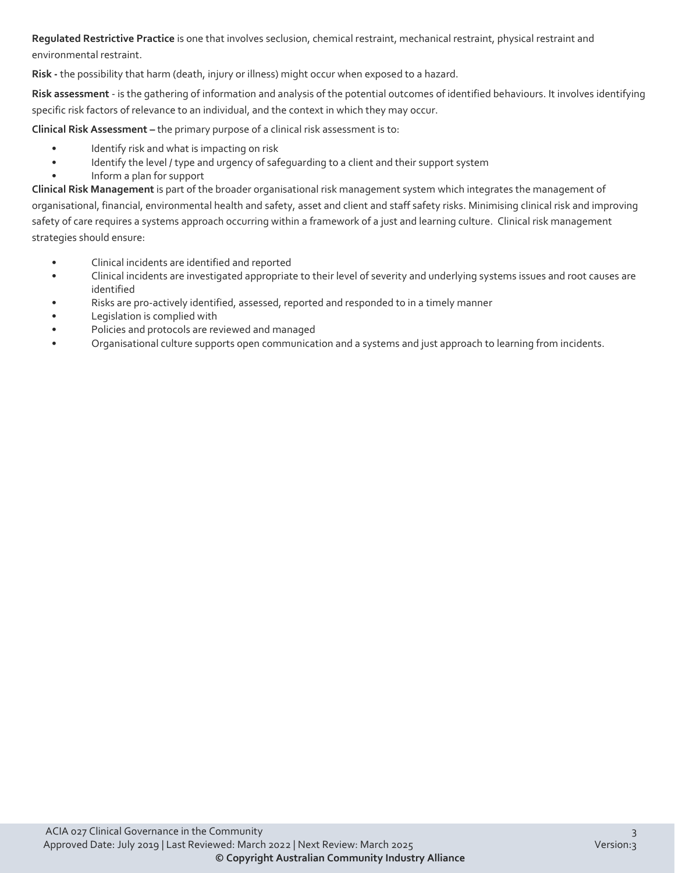**Regulated Restrictive Practice** is one that involves seclusion, chemical restraint, mechanical restraint, physical restraint and environmental restraint.

**Risk -** the possibility that harm (death, injury or illness) might occur when exposed to a hazard.

**Risk assessment** - is the gathering of information and analysis of the potential outcomes of identified behaviours. It involves identifying specific risk factors of relevance to an individual, and the context in which they may occur.

**Clinical Risk Assessment –** the primary purpose of a clinical risk assessment is to:

- Identify risk and what is impacting on risk
- Identify the level / type and urgency of safeguarding to a client and their support system
- Inform a plan for support

**Clinical Risk Management** is part of the broader organisational risk management system which integrates the management of organisational, financial, environmental health and safety, asset and client and staff safety risks. Minimising clinical risk and improving safety of care requires a systems approach occurring within a framework of a just and learning culture. Clinical risk management strategies should ensure:

- Clinical incidents are identified and reported
- Clinical incidents are investigated appropriate to their level of severity and underlying systems issues and root causes are identified
- Risks are pro-actively identified, assessed, reported and responded to in a timely manner
- Legislation is complied with
- Policies and protocols are reviewed and managed
- Organisational culture supports open communication and a systems and just approach to learning from incidents.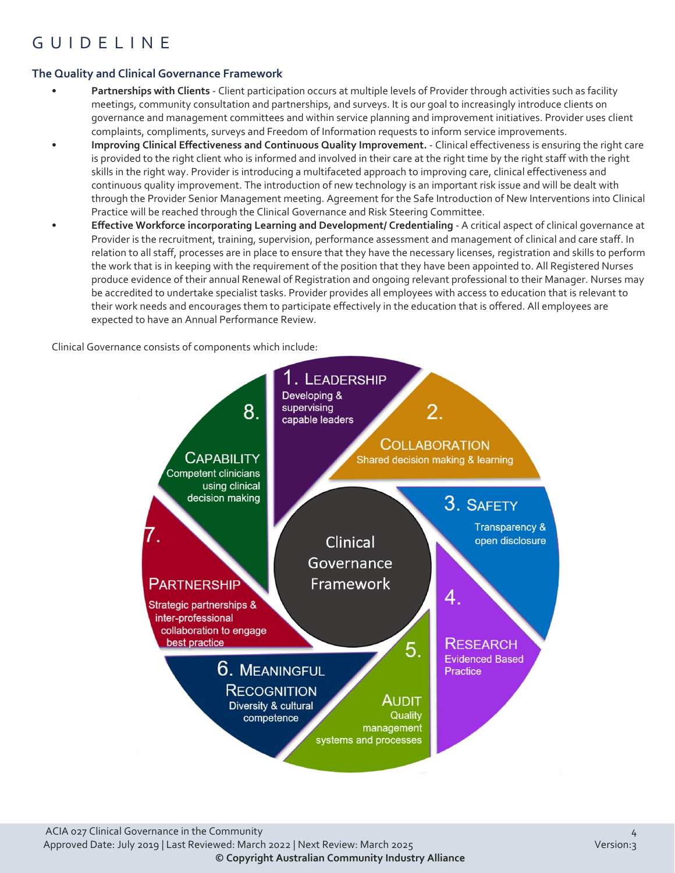## GUIDELINE

#### **The Quality and Clinical Governance Framework**

- **Partnerships with Clients** Client participation occurs at multiple levels of Provider through activities such as facility meetings, community consultation and partnerships, and surveys. It is our goal to increasingly introduce clients on governance and management committees and within service planning and improvement initiatives. Provider uses client complaints, compliments, surveys and Freedom of Information requests to inform service improvements.
- **Improving Clinical Effectiveness and Continuous Quality Improvement.** Clinical effectiveness is ensuring the right care is provided to the right client who is informed and involved in their care at the right time by the right staff with the right skills in the right way. Provider is introducing a multifaceted approach to improving care, clinical effectiveness and continuous quality improvement. The introduction of new technology is an important risk issue and will be dealt with through the Provider Senior Management meeting. Agreement for the Safe Introduction of New Interventions into Clinical Practice will be reached through the Clinical Governance and Risk Steering Committee.
- **Effective Workforce incorporating Learning and Development/ Credentialing** A critical aspect of clinical governance at Provider is the recruitment, training, supervision, performance assessment and management of clinical and care staff. In relation to all staff, processes are in place to ensure that they have the necessary licenses, registration and skills to perform the work that is in keeping with the requirement of the position that they have been appointed to. All Registered Nurses produce evidence of their annual Renewal of Registration and ongoing relevant professional to their Manager. Nurses may be accredited to undertake specialist tasks. Provider provides all employees with access to education that is relevant to their work needs and encourages them to participate effectively in the education that is offered. All employees are expected to have an Annual Performance Review.

Clinical Governance consists of components which include:

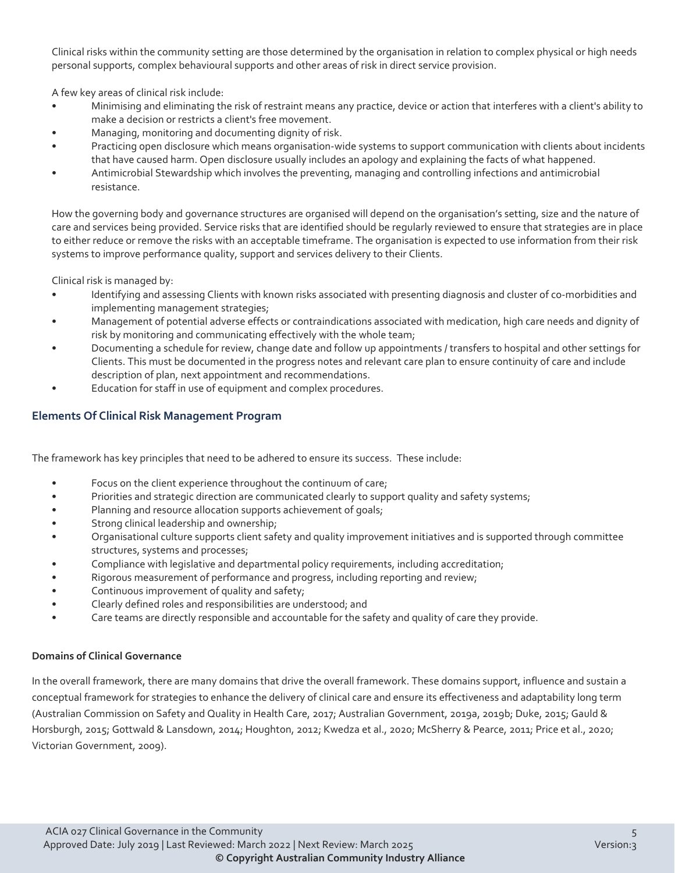Clinical risks within the community setting are those determined by the organisation in relation to complex physical or high needs personal supports, complex behavioural supports and other areas of risk in direct service provision.

A few key areas of clinical risk include:

- Minimising and eliminating the risk of restraint means any practice, device or action that interferes with a client's ability to make a decision or restricts a client's free movement.
- Managing, monitoring and documenting dignity of risk.
- Practicing open disclosure which means organisation-wide systems to support communication with clients about incidents that have caused harm. Open disclosure usually includes an apology and explaining the facts of what happened.
- Antimicrobial Stewardship which involves the preventing, managing and controlling infections and antimicrobial resistance.

How the governing body and governance structures are organised will depend on the organisation's setting, size and the nature of care and services being provided. Service risks that are identified should be regularly reviewed to ensure that strategies are in place to either reduce or remove the risks with an acceptable timeframe. The organisation is expected to use information from their risk systems to improve performance quality, support and services delivery to their Clients.

Clinical risk is managed by:

- Identifying and assessing Clients with known risks associated with presenting diagnosis and cluster of co-morbidities and implementing management strategies;
- Management of potential adverse effects or contraindications associated with medication, high care needs and dignity of risk by monitoring and communicating effectively with the whole team;
- Documenting a schedule for review, change date and follow up appointments / transfers to hospital and other settings for Clients. This must be documented in the progress notes and relevant care plan to ensure continuity of care and include description of plan, next appointment and recommendations.
- Education for staff in use of equipment and complex procedures.

#### **Elements Of Clinical Risk Management Program**

The framework has key principles that need to be adhered to ensure its success. These include:

- Focus on the client experience throughout the continuum of care;
- Priorities and strategic direction are communicated clearly to support quality and safety systems;
- Planning and resource allocation supports achievement of goals;
- Strong clinical leadership and ownership;
- Organisational culture supports client safety and quality improvement initiatives and is supported through committee structures, systems and processes;
- Compliance with legislative and departmental policy requirements, including accreditation;
- Rigorous measurement of performance and progress, including reporting and review;
- Continuous improvement of quality and safety;
- Clearly defined roles and responsibilities are understood; and
- Care teams are directly responsible and accountable for the safety and quality of care they provide.

#### **Domains of Clinical Governance**

In the overall framework, there are many domains that drive the overall framework. These domains support, influence and sustain a conceptual framework for strategies to enhance the delivery of clinical care and ensure its effectiveness and adaptability long term (Australian Commission on Safety and Quality in Health Care, 2017; Australian Government, 2019a, 2019b; Duke, 2015; Gauld & Horsburgh, 2015; Gottwald & Lansdown, 2014; Houghton, 2012; Kwedza et al., 2020; McSherry & Pearce, 2011; Price et al., 2020; Victorian Government, 2009).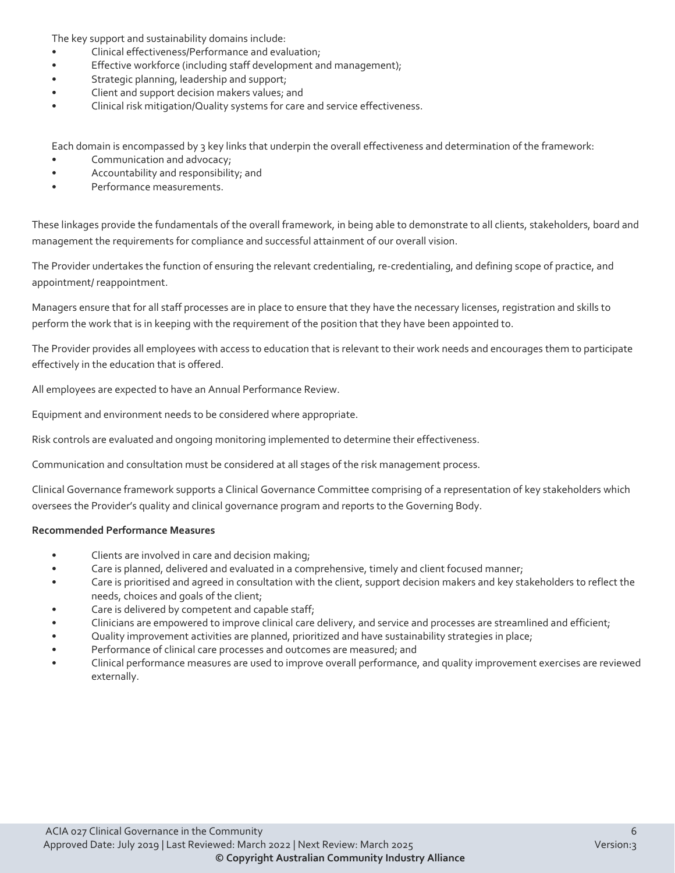The key support and sustainability domains include:

- Clinical effectiveness/Performance and evaluation;
- Effective workforce (including staff development and management);
- Strategic planning, leadership and support;
- Client and support decision makers values; and
- Clinical risk mitigation/Quality systems for care and service effectiveness.

Each domain is encompassed by 3 key links that underpin the overall effectiveness and determination of the framework:

- Communication and advocacy;
- Accountability and responsibility; and
- Performance measurements.

These linkages provide the fundamentals of the overall framework, in being able to demonstrate to all clients, stakeholders, board and management the requirements for compliance and successful attainment of our overall vision.

The Provider undertakes the function of ensuring the relevant credentialing, re-credentialing, and defining scope of practice, and appointment/ reappointment.

Managers ensure that for all staff processes are in place to ensure that they have the necessary licenses, registration and skills to perform the work that is in keeping with the requirement of the position that they have been appointed to.

The Provider provides all employees with access to education that is relevant to their work needs and encourages them to participate effectively in the education that is offered.

All employees are expected to have an Annual Performance Review.

Equipment and environment needs to be considered where appropriate.

Risk controls are evaluated and ongoing monitoring implemented to determine their effectiveness.

Communication and consultation must be considered at all stages of the risk management process.

Clinical Governance framework supports a Clinical Governance Committee comprising of a representation of key stakeholders which oversees the Provider's quality and clinical governance program and reports to the Governing Body.

#### **Recommended Performance Measures**

- Clients are involved in care and decision making;
- Care is planned, delivered and evaluated in a comprehensive, timely and client focused manner;
- Care is prioritised and agreed in consultation with the client, support decision makers and key stakeholders to reflect the needs, choices and goals of the client;
- Care is delivered by competent and capable staff;
- Clinicians are empowered to improve clinical care delivery, and service and processes are streamlined and efficient;
- Quality improvement activities are planned, prioritized and have sustainability strategies in place;
- Performance of clinical care processes and outcomes are measured; and
- Clinical performance measures are used to improve overall performance, and quality improvement exercises are reviewed externally.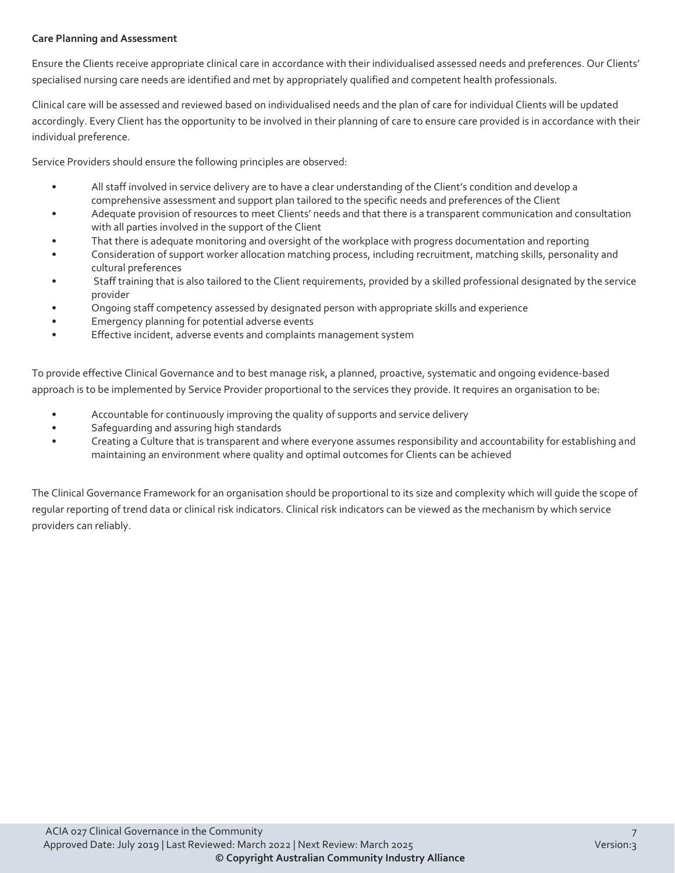#### **Care Planning and Assessment**

Ensure the Clients receive appropriate clinical care in accordance with their individualised assessed needs and preferences. Our Clients' specialised nursing care needs are identified and met by appropriately qualified and competent health professionals.

Clinical care will be assessed and reviewed based on individualised needs and the plan of care for individual Clients will be updated accordingly. Every Client has the opportunity to be involved in their planning of care to ensure care provided is in accordance with their individual preference.

Service Providers should ensure the following principles are observed:

- All staff involved in service delivery are to have a clear understanding of the Client's condition and develop a comprehensive assessment and support plan tailored to the specific needs and preferences of the Client
- Adequate provision of resources to meet Clients' needs and that there is a transparent communication and consultation with all parties involved in the support of the Client
- That there is adequate monitoring and oversight of the workplace with progress documentation and reporting
- Consideration of support worker allocation matching process, including recruitment, matching skills, personality and cultural preferences
- Staff training that is also tailored to the Client requirements, provided by a skilled professional designated by the service provider
- Ongoing staff competency assessed by designated person with appropriate skills and experience
- Emergency planning for potential adverse events
- Effective incident, adverse events and complaints management system

To provide effective Clinical Governance and to best manage risk, a planned, proactive, systematic and ongoing evidence-based approach is to be implemented by Service Provider proportional to the services they provide. It requires an organisation to be:

- Accountable for continuously improving the quality of supports and service delivery
- Safeguarding and assuring high standards
- Creating a Culture that is transparent and where everyone assumes responsibility and accountability for establishing and maintaining an environment where quality and optimal outcomes for Clients can be achieved

The Clinical Governance Framework for an organisation should be proportional to its size and complexity which will guide the scope of regular reporting of trend data or clinical risk indicators. Clinical risk indicators can be viewed as the mechanism by which service providers can reliably.